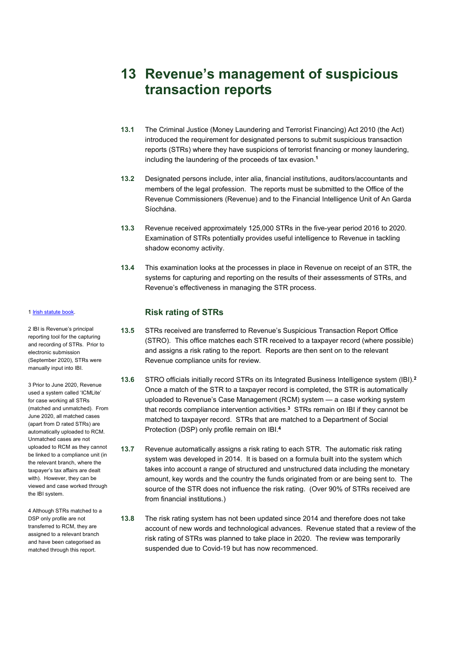# **13 Revenue's management of suspicious transaction reports**

- **13.1** The Criminal Justice (Money Laundering and Terrorist Financing) Act 2010 (the Act) introduced the requirement for designated persons to submit suspicious transaction reports (STRs) where they have suspicions of terrorist financing or money laundering, including the laundering of the proceeds of tax evasion. **1**
- **13.2** Designated persons include, inter alia, financial institutions, auditors/accountants and members of the legal profession. The reports must be submitted to the Office of the Revenue Commissioners (Revenue) and to the Financial Intelligence Unit of An Garda Síochána.
- **13.3** Revenue received approximately 125,000 STRs in the five-year period 2016 to 2020. Examination of STRs potentially provides useful intelligence to Revenue in tackling shadow economy activity.
- **13.4** This examination looks at the processes in place in Revenue on receipt of an STR, the systems for capturing and reporting on the results of their assessments of STRs, and Revenue's effectiveness in managing the STR process.

# **Risk rating of STRs**

- **13.5** STRs received are transferred to Revenue's Suspicious Transaction Report Office (STRO). This office matches each STR received to a taxpayer record (where possible) and assigns a risk rating to the report. Reports are then sent on to the relevant Revenue compliance units for review.
- **13.6** STRO officials initially record STRs on its Integrated Business Intelligence system (IBI). **2** Once a match of the STR to a taxpayer record is completed, the STR is automatically uploaded to Revenue's Case Management (RCM) system — a case working system that records compliance intervention activities. **<sup>3</sup>** STRs remain on IBI if they cannot be matched to taxpayer record. STRs that are matched to a Department of Social Protection (DSP) only profile remain on IBI.**<sup>4</sup>**
- **13.7** Revenue automatically assigns a risk rating to each STR. The automatic risk rating system was developed in 2014. It is based on a formula built into the system which takes into account a range of structured and unstructured data including the monetary amount, key words and the country the funds originated from or are being sent to. The source of the STR does not influence the risk rating. (Over 90% of STRs received are from financial institutions.)
- **13.8** The risk rating system has not been updated since 2014 and therefore does not take account of new words and technological advances. Revenue stated that a review of the risk rating of STRs was planned to take place in 2020. The review was temporarily suspended due to Covid-19 but has now recommenced.

#### 1 [Irish statute book.](http://www.irishstatutebook.ie/eli/2010/act/6/enacted/en/html)

2 IBI is Revenue's principal reporting tool for the capturing and recording of STRs. Prior to electronic submission (September 2020), STRs were manually input into IBI.

3 Prior to June 2020, Revenue used a system called 'ICMLite' for case working all STRs (matched and unmatched). From June 2020, all matched cases (apart from D rated STRs) are automatically uploaded to RCM. Unmatched cases are not uploaded to RCM as they cannot be linked to a compliance unit (in the relevant branch, where the taxpayer's tax affairs are dealt with). However, they can be viewed and case worked through the IBI system.

4 Although STRs matched to a DSP only profile are not transferred to RCM, they are assigned to a relevant branch and have been categorised as matched through this report.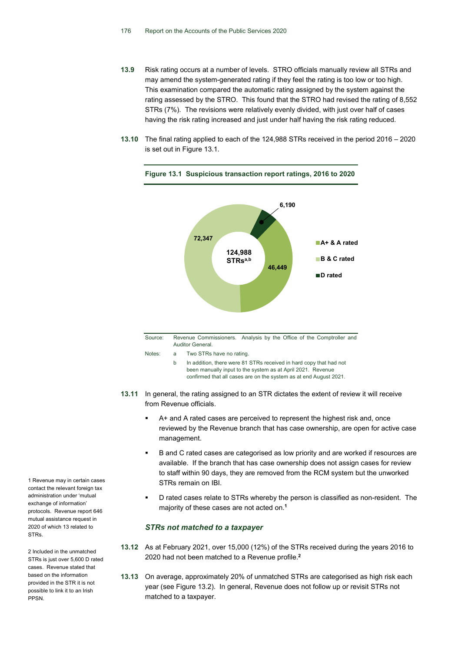- **13.9** Risk rating occurs at a number of levels. STRO officials manually review all STRs and may amend the system-generated rating if they feel the rating is too low or too high. This examination compared the automatic rating assigned by the system against the rating assessed by the STRO. This found that the STRO had revised the rating of 8,552 STRs (7%). The revisions were relatively evenly divided, with just over half of cases having the risk rating increased and just under half having the risk rating reduced.
- **13.10** The final rating applied to each of the 124,988 STRs received in the period 2016 2020 is set out in Figure 13.1.



**Figure 13.1 Suspicious transaction report ratings, 2016 to 2020** 

- Source: Revenue Commissioners. Analysis by the Office of the Comptroller and Auditor General. Notes: a Two STRs have no rating.
	- b In addition, there were 81 STRs received in hard copy that had not been manually input to the system as at April 2021. Revenue confirmed that all cases are on the system as at end August 2021.
- **13.11** In general, the rating assigned to an STR dictates the extent of review it will receive from Revenue officials.
	- A+ and A rated cases are perceived to represent the highest risk and, once reviewed by the Revenue branch that has case ownership, are open for active case management.
	- B and C rated cases are categorised as low priority and are worked if resources are available. If the branch that has case ownership does not assign cases for review to staff within 90 days, they are removed from the RCM system but the unworked STRs remain on IBI.
	- D rated cases relate to STRs whereby the person is classified as non-resident. The majority of these cases are not acted on. **1**

# *STRs not matched to a taxpayer*

- **13.12** As at February 2021, over 15,000 (12%) of the STRs received during the years 2016 to 2020 had not been matched to a Revenue profile.**<sup>2</sup>**
- **13.13** On average, approximately 20% of unmatched STRs are categorised as high risk each year (see Figure 13.2). In general, Revenue does not follow up or revisit STRs not matched to a taxpayer.

1 Revenue may in certain cases contact the relevant foreign tax administration under 'mutual exchange of information' protocols. Revenue report 646 mutual assistance request in 2020 of which 13 related to STRs.

2 Included in the unmatched STRs is just over 5,600 D rated cases. Revenue stated that based on the information provided in the STR it is not possible to link it to an Irish PPSN.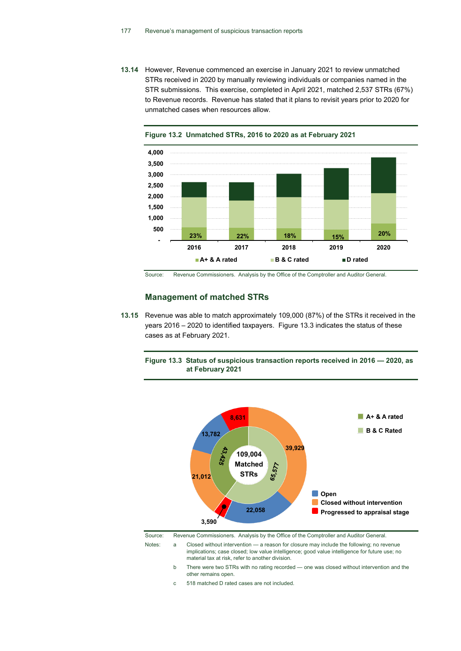**13.14** However, Revenue commenced an exercise in January 2021 to review unmatched STRs received in 2020 by manually reviewing individuals or companies named in the STR submissions. This exercise, completed in April 2021, matched 2,537 STRs (67%) to Revenue records. Revenue has stated that it plans to revisit years prior to 2020 for unmatched cases when resources allow.





Source: Revenue Commissioners. Analysis by the Office of the Comptroller and Auditor General.

# **Management of matched STRs**

**13.15** Revenue was able to match approximately 109,000 (87%) of the STRs it received in the years 2016 – 2020 to identified taxpayers. Figure 13.3 indicates the status of these cases as at February 2021.





material tax at risk, refer to another division. b There were two STRs with no rating recorded — one was closed without intervention and the other remains open.

c 518 matched D rated cases are not included.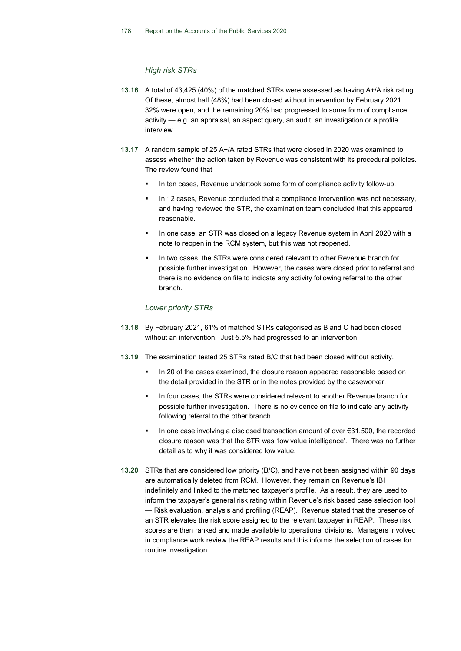### *High risk STRs*

- **13.16** A total of 43,425 (40%) of the matched STRs were assessed as having A+/A risk rating. Of these, almost half (48%) had been closed without intervention by February 2021. 32% were open, and the remaining 20% had progressed to some form of compliance activity — e.g. an appraisal, an aspect query, an audit, an investigation or a profile interview.
- **13.17** A random sample of 25 A+/A rated STRs that were closed in 2020 was examined to assess whether the action taken by Revenue was consistent with its procedural policies. The review found that
	- In ten cases, Revenue undertook some form of compliance activity follow-up.
	- In 12 cases, Revenue concluded that a compliance intervention was not necessary, and having reviewed the STR, the examination team concluded that this appeared reasonable.
	- In one case, an STR was closed on a legacy Revenue system in April 2020 with a note to reopen in the RCM system, but this was not reopened.
	- In two cases, the STRs were considered relevant to other Revenue branch for possible further investigation. However, the cases were closed prior to referral and there is no evidence on file to indicate any activity following referral to the other branch.

# *Lower priority STRs*

- **13.18** By February 2021, 61% of matched STRs categorised as B and C had been closed without an intervention. Just 5.5% had progressed to an intervention.
- **13.19** The examination tested 25 STRs rated B/C that had been closed without activity.
	- In 20 of the cases examined, the closure reason appeared reasonable based on the detail provided in the STR or in the notes provided by the caseworker.
	- In four cases, the STRs were considered relevant to another Revenue branch for possible further investigation. There is no evidence on file to indicate any activity following referral to the other branch.
	- In one case involving a disclosed transaction amount of over €31,500, the recorded closure reason was that the STR was 'low value intelligence'. There was no further detail as to why it was considered low value.
- **13.20** STRs that are considered low priority (B/C), and have not been assigned within 90 days are automatically deleted from RCM. However, they remain on Revenue's IBI indefinitely and linked to the matched taxpayer's profile. As a result, they are used to inform the taxpayer's general risk rating within Revenue's risk based case selection tool — Risk evaluation, analysis and profiling (REAP). Revenue stated that the presence of an STR elevates the risk score assigned to the relevant taxpayer in REAP. These risk scores are then ranked and made available to operational divisions. Managers involved in compliance work review the REAP results and this informs the selection of cases for routine investigation.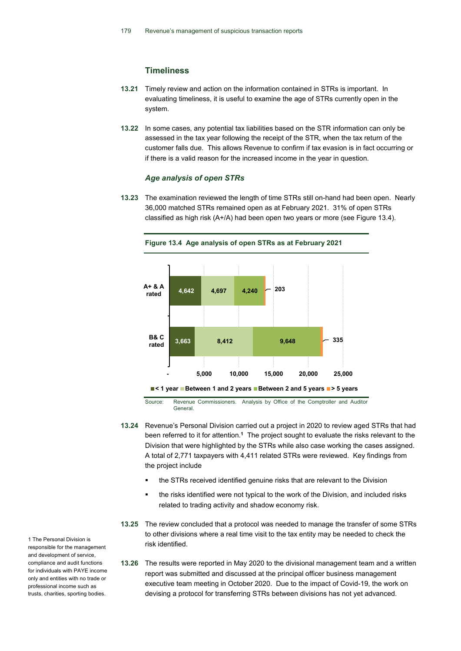# **Timeliness**

- **13.21** Timely review and action on the information contained in STRs is important. In evaluating timeliness, it is useful to examine the age of STRs currently open in the system.
- **13.22** In some cases, any potential tax liabilities based on the STR information can only be assessed in the tax year following the receipt of the STR, when the tax return of the customer falls due. This allows Revenue to confirm if tax evasion is in fact occurring or if there is a valid reason for the increased income in the year in question.

#### *Age analysis of open STRs*

**13.23** The examination reviewed the length of time STRs still on-hand had been open. Nearly 36,000 matched STRs remained open as at February 2021. 31% of open STRs classified as high risk (A+/A) had been open two years or more (see Figure 13.4).



Source: Revenue Commissioners. Analysis by Office of the Comptroller and Auditor General.

- **13.24** Revenue's Personal Division carried out a project in 2020 to review aged STRs that had been referred to it for attention. **<sup>1</sup>** The project sought to evaluate the risks relevant to the Division that were highlighted by the STRs while also case working the cases assigned. A total of 2,771 taxpayers with 4,411 related STRs were reviewed. Key findings from the project include
	- the STRs received identified genuine risks that are relevant to the Division
	- the risks identified were not typical to the work of the Division, and included risks related to trading activity and shadow economy risk.
- **13.25** The review concluded that a protocol was needed to manage the transfer of some STRs to other divisions where a real time visit to the tax entity may be needed to check the risk identified.
- **13.26** The results were reported in May 2020 to the divisional management team and a written report was submitted and discussed at the principal officer business management executive team meeting in October 2020. Due to the impact of Covid-19, the work on devising a protocol for transferring STRs between divisions has not yet advanced.

1 The Personal Division is responsible for the management and development of service, compliance and audit functions for individuals with PAYE income only and entities with no trade or professional income such as trusts, charities, sporting bodies.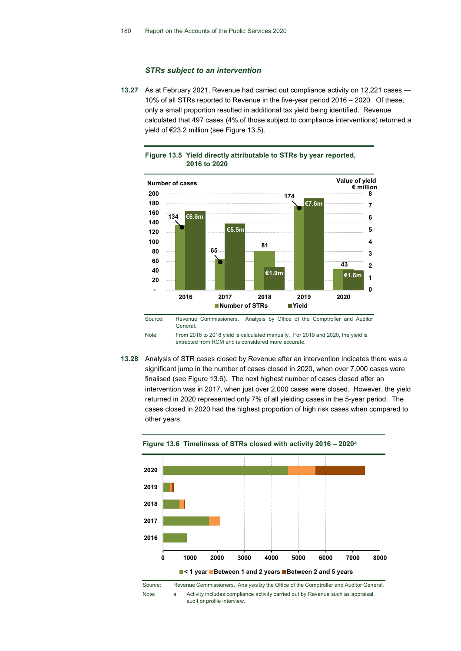## *STRs subject to an intervention*

**13.27** As at February 2021, Revenue had carried out compliance activity on 12,221 cases — 10% of all STRs reported to Revenue in the five-year period 2016 – 2020. Of these, only a small proportion resulted in additional tax yield being identified. Revenue calculated that 497 cases (4% of those subject to compliance interventions) returned a yield of €23.2 million (see Figure 13.5).





Note: From 2016 to 2018 yield is calculated manually. For 2019 and 2020, the yield is extracted from RCM and is considered more accurate.

**13.28** Analysis of STR cases closed by Revenue after an intervention indicates there was a significant jump in the number of cases closed in 2020, when over 7,000 cases were finalised (see Figure 13.6). The next highest number of cases closed after an intervention was in 2017, when just over 2,000 cases were closed. However, the yield returned in 2020 represented only 7% of all yielding cases in the 5-year period. The cases closed in 2020 had the highest proportion of high risk cases when compared to other years.





Source: Revenue Commissioners. Analysis by the Office of the Comptroller and Auditor General. Note: a Activity includes compliance activity carried out by Revenue such as appraisal, audit or profile interview.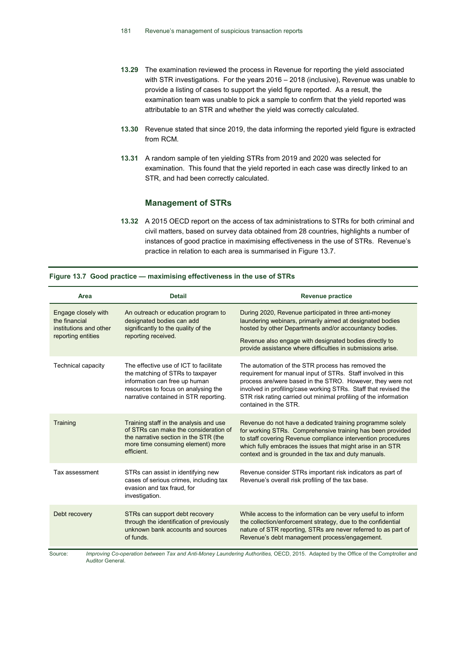- **13.29** The examination reviewed the process in Revenue for reporting the yield associated with STR investigations. For the years 2016 – 2018 (inclusive), Revenue was unable to provide a listing of cases to support the yield figure reported. As a result, the examination team was unable to pick a sample to confirm that the yield reported was attributable to an STR and whether the yield was correctly calculated.
- **13.30** Revenue stated that since 2019, the data informing the reported yield figure is extracted from RCM.
- **13.31** A random sample of ten yielding STRs from 2019 and 2020 was selected for examination. This found that the yield reported in each case was directly linked to an STR, and had been correctly calculated.

# **Management of STRs**

**13.32** A 2015 OECD report on the access of tax administrations to STRs for both criminal and civil matters, based on survey data obtained from 28 countries, highlights a number of instances of good practice in maximising effectiveness in the use of STRs. Revenue's practice in relation to each area is summarised in Figure 13.7.

| Area                                                                                 | <b>Detail</b>                                                                                                                                                                               | <b>Revenue practice</b>                                                                                                                                                                                                                                                                                                                        |
|--------------------------------------------------------------------------------------|---------------------------------------------------------------------------------------------------------------------------------------------------------------------------------------------|------------------------------------------------------------------------------------------------------------------------------------------------------------------------------------------------------------------------------------------------------------------------------------------------------------------------------------------------|
| Engage closely with<br>the financial<br>institutions and other<br>reporting entities | An outreach or education program to<br>designated bodies can add<br>significantly to the quality of the<br>reporting received.                                                              | During 2020, Revenue participated in three anti-money<br>laundering webinars, primarily aimed at designated bodies<br>hosted by other Departments and/or accountancy bodies.<br>Revenue also engage with designated bodies directly to<br>provide assistance where difficulties in submissions arise.                                          |
| <b>Technical capacity</b>                                                            | The effective use of ICT to facilitate<br>the matching of STRs to taxpayer<br>information can free up human<br>resources to focus on analysing the<br>narrative contained in STR reporting. | The automation of the STR process has removed the<br>requirement for manual input of STRs. Staff involved in this<br>process are/were based in the STRO. However, they were not<br>involved in profiling/case working STRs. Staff that revised the<br>STR risk rating carried out minimal profiling of the information<br>contained in the STR |
| Training                                                                             | Training staff in the analysis and use<br>of STRs can make the consideration of<br>the narrative section in the STR (the<br>more time consuming element) more<br>efficient.                 | Revenue do not have a dedicated training programme solely<br>for working STRs. Comprehensive training has been provided<br>to staff covering Revenue compliance intervention procedures<br>which fully embraces the issues that might arise in an STR<br>context and is grounded in the tax and duty manuals.                                  |
| Tax assessment                                                                       | STRs can assist in identifying new<br>cases of serious crimes, including tax<br>evasion and tax fraud, for<br>investigation.                                                                | Revenue consider STRs important risk indicators as part of<br>Revenue's overall risk profiling of the tax base.                                                                                                                                                                                                                                |
| Debt recovery                                                                        | STRs can support debt recovery<br>through the identification of previously<br>unknown bank accounts and sources<br>of funds.                                                                | While access to the information can be very useful to inform<br>the collection/enforcement strategy, due to the confidential<br>nature of STR reporting, STRs are never referred to as part of<br>Revenue's debt management process/engagement.                                                                                                |

Source: *Improving Co-operation between Tax and Anti-Money Laundering Authorities,* OECD, 2015. Adapted by the Office of the Comptroller and Auditor General.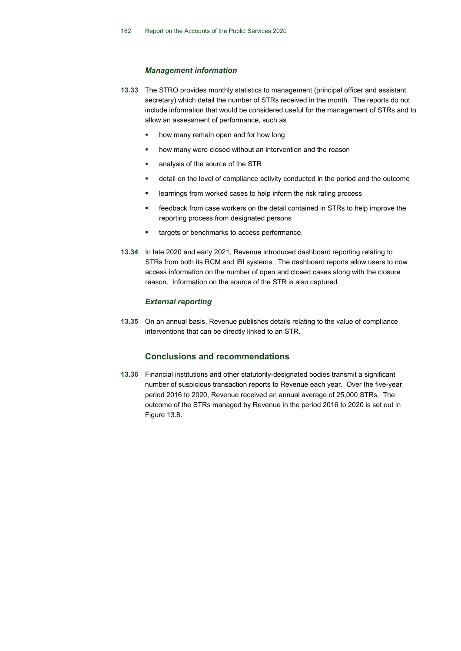## *Management information*

- **13.33** The STRO provides monthly statistics to management (principal officer and assistant secretary) which detail the number of STRs received in the month. The reports do not include information that would be considered useful for the management of STRs and to allow an assessment of performance, such as
	- how many remain open and for how long
	- how many were closed without an intervention and the reason
	- analysis of the source of the STR
	- detail on the level of compliance activity conducted in the period and the outcome
	- learnings from worked cases to help inform the risk rating process
	- feedback from case workers on the detail contained in STRs to help improve the reporting process from designated persons
	- targets or benchmarks to access performance.
- **13.34** In late 2020 and early 2021, Revenue introduced dashboard reporting relating to STRs from both its RCM and IBI systems. The dashboard reports allow users to now access information on the number of open and closed cases along with the closure reason. Information on the source of the STR is also captured.

# *External reporting*

**13.35** On an annual basis, Revenue publishes details relating to the value of compliance interventions that can be directly linked to an STR.

# **Conclusions and recommendations**

**13.36** Financial institutions and other statutorily-designated bodies transmit a significant number of suspicious transaction reports to Revenue each year. Over the five-year period 2016 to 2020, Revenue received an annual average of 25,000 STRs. The outcome of the STRs managed by Revenue in the period 2016 to 2020 is set out in Figure 13.8.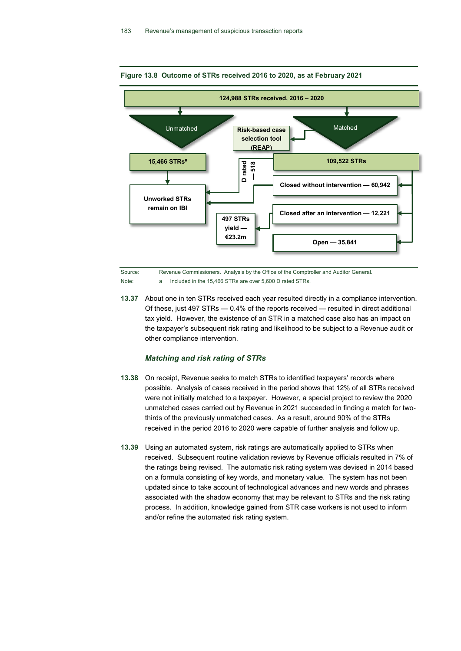

#### **Figure 13.8 Outcome of STRs received 2016 to 2020, as at February 2021**

Source: Revenue Commissioners. Analysis by the Office of the Comptroller and Auditor General. Note: a Included in the 15,466 STRs are over 5,600 D rated STRs.

**13.37** About one in ten STRs received each year resulted directly in a compliance intervention. Of these, just 497 STRs — 0.4% of the reports received — resulted in direct additional tax yield. However, the existence of an STR in a matched case also has an impact on the taxpayer's subsequent risk rating and likelihood to be subject to a Revenue audit or other compliance intervention.

#### *Matching and risk rating of STRs*

- **13.38** On receipt, Revenue seeks to match STRs to identified taxpayers' records where possible. Analysis of cases received in the period shows that 12% of all STRs received were not initially matched to a taxpayer. However, a special project to review the 2020 unmatched cases carried out by Revenue in 2021 succeeded in finding a match for twothirds of the previously unmatched cases. As a result, around 90% of the STRs received in the period 2016 to 2020 were capable of further analysis and follow up.
- **13.39** Using an automated system, risk ratings are automatically applied to STRs when received. Subsequent routine validation reviews by Revenue officials resulted in 7% of the ratings being revised. The automatic risk rating system was devised in 2014 based on a formula consisting of key words, and monetary value. The system has not been updated since to take account of technological advances and new words and phrases associated with the shadow economy that may be relevant to STRs and the risk rating process. In addition, knowledge gained from STR case workers is not used to inform and/or refine the automated risk rating system.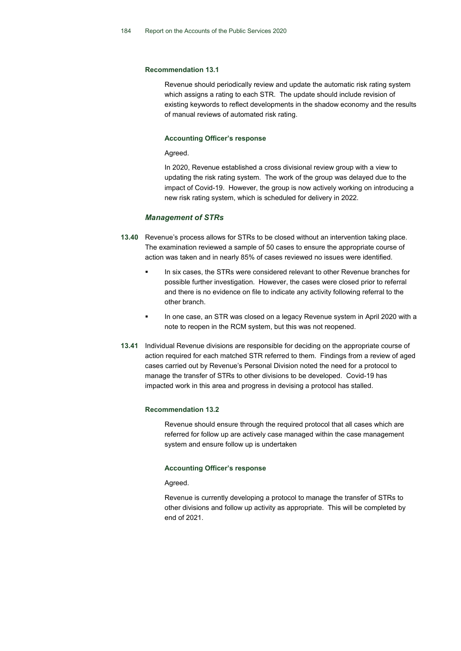#### **Recommendation 13.1**

Revenue should periodically review and update the automatic risk rating system which assigns a rating to each STR. The update should include revision of existing keywords to reflect developments in the shadow economy and the results of manual reviews of automated risk rating.

#### **Accounting Officer's response**

Agreed.

In 2020, Revenue established a cross divisional review group with a view to updating the risk rating system. The work of the group was delayed due to the impact of Covid-19. However, the group is now actively working on introducing a new risk rating system, which is scheduled for delivery in 2022.

## *Management of STRs*

- **13.40** Revenue's process allows for STRs to be closed without an intervention taking place. The examination reviewed a sample of 50 cases to ensure the appropriate course of action was taken and in nearly 85% of cases reviewed no issues were identified.
	- In six cases, the STRs were considered relevant to other Revenue branches for possible further investigation. However, the cases were closed prior to referral and there is no evidence on file to indicate any activity following referral to the other branch.
	- In one case, an STR was closed on a legacy Revenue system in April 2020 with a note to reopen in the RCM system, but this was not reopened.
- **13.41** Individual Revenue divisions are responsible for deciding on the appropriate course of action required for each matched STR referred to them. Findings from a review of aged cases carried out by Revenue's Personal Division noted the need for a protocol to manage the transfer of STRs to other divisions to be developed. Covid-19 has impacted work in this area and progress in devising a protocol has stalled.

#### **Recommendation 13.2**

Revenue should ensure through the required protocol that all cases which are referred for follow up are actively case managed within the case management system and ensure follow up is undertaken

#### **Accounting Officer's response**

Agreed.

Revenue is currently developing a protocol to manage the transfer of STRs to other divisions and follow up activity as appropriate. This will be completed by end of 2021.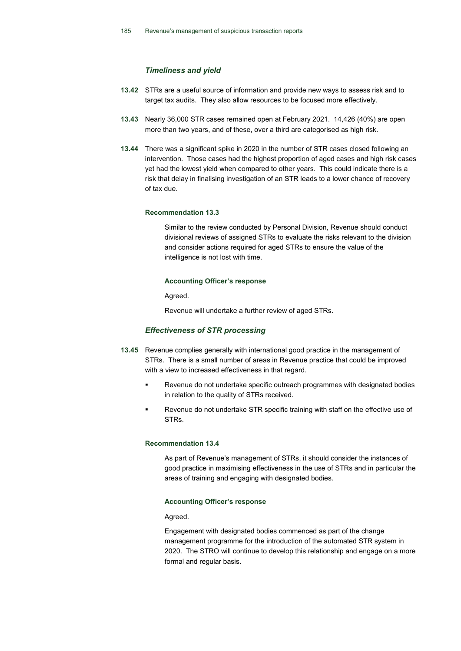# *Timeliness and yield*

- **13.42** STRs are a useful source of information and provide new ways to assess risk and to target tax audits. They also allow resources to be focused more effectively.
- **13.43** Nearly 36,000 STR cases remained open at February 2021. 14,426 (40%) are open more than two years, and of these, over a third are categorised as high risk.
- **13.44** There was a significant spike in 2020 in the number of STR cases closed following an intervention. Those cases had the highest proportion of aged cases and high risk cases yet had the lowest yield when compared to other years. This could indicate there is a risk that delay in finalising investigation of an STR leads to a lower chance of recovery of tax due.

#### **Recommendation 13.3**

Similar to the review conducted by Personal Division, Revenue should conduct divisional reviews of assigned STRs to evaluate the risks relevant to the division and consider actions required for aged STRs to ensure the value of the intelligence is not lost with time.

#### **Accounting Officer's response**

Agreed.

Revenue will undertake a further review of aged STRs.

## *Effectiveness of STR processing*

- **13.45** Revenue complies generally with international good practice in the management of STRs. There is a small number of areas in Revenue practice that could be improved with a view to increased effectiveness in that regard.
	- Revenue do not undertake specific outreach programmes with designated bodies in relation to the quality of STRs received.
	- Revenue do not undertake STR specific training with staff on the effective use of STRs.

# **Recommendation 13.4**

As part of Revenue's management of STRs, it should consider the instances of good practice in maximising effectiveness in the use of STRs and in particular the areas of training and engaging with designated bodies.

## **Accounting Officer's response**

Agreed.

Engagement with designated bodies commenced as part of the change management programme for the introduction of the automated STR system in 2020. The STRO will continue to develop this relationship and engage on a more formal and regular basis.